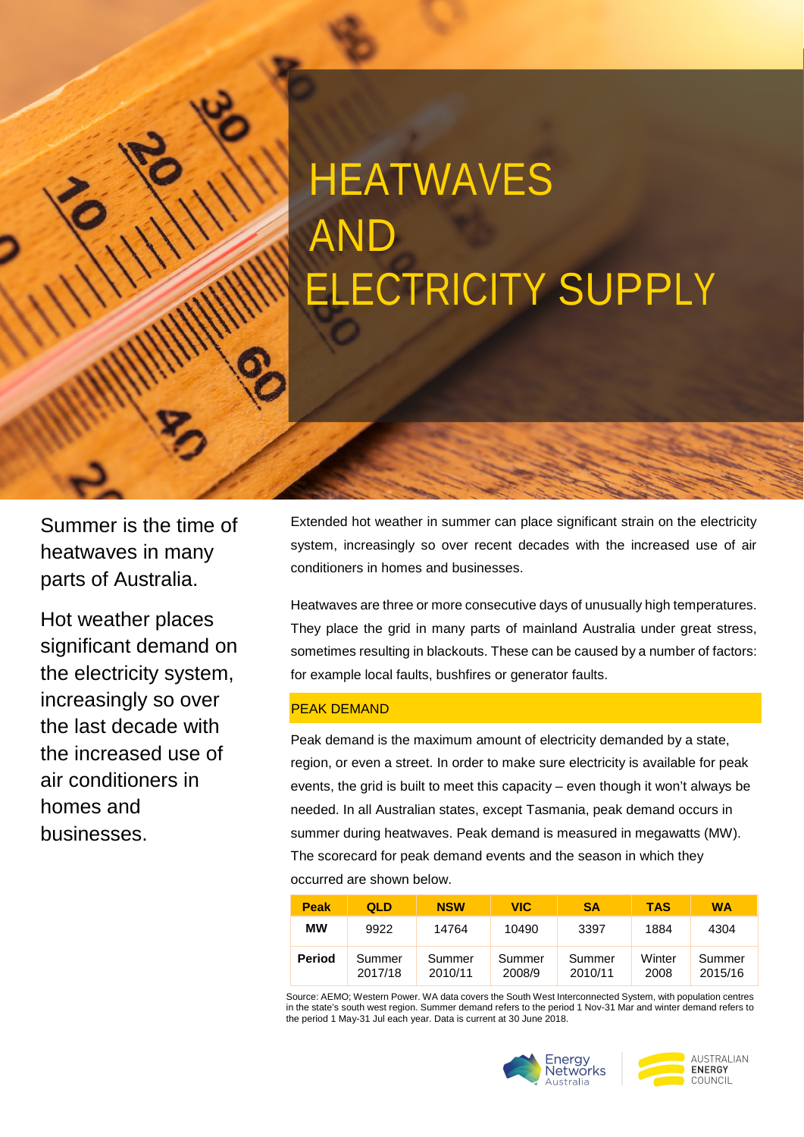# **HEATWAVES** AND ELECTRICITY SUPPLY

Summer is the time of heatwaves in many parts of Australia.

Hot weather places significant demand on the electricity system, increasingly so over the last decade with the increased use of air conditioners in homes and businesses.

Extended hot weather in summer can place significant strain on the electricity system, increasingly so over recent decades with the increased use of air conditioners in homes and businesses.

Heatwaves are three or more consecutive days of unusually high temperatures. They place the grid in many parts of mainland Australia under great stress, sometimes resulting in blackouts. These can be caused by a number of factors: for example local faults, bushfires or generator faults.

#### PEAK DEMAND

Peak demand is the maximum amount of electricity demanded by a state, region, or even a street. In order to make sure electricity is available for peak events, the grid is built to meet this capacity – even though it won't always be needed. In all Australian states, except Tasmania, peak demand occurs in summer during heatwaves. Peak demand is measured in megawatts (MW). The scorecard for peak demand events and the season in which they occurred are shown below.

| <b>Peak</b> | QLD               | <b>NSW</b>        | <b>VIC</b>       | <b>SA</b>         | <b>TAS</b>     | <b>WA</b>         |
|-------------|-------------------|-------------------|------------------|-------------------|----------------|-------------------|
| МW          | 9922              | 14764             | 10490            | 3397              | 1884           | 4304              |
| Period      | Summer<br>2017/18 | Summer<br>2010/11 | Summer<br>2008/9 | Summer<br>2010/11 | Winter<br>2008 | Summer<br>2015/16 |

Source: AEMO; Western Power. WA data covers the South West Interconnected System, with population centres in the state's south west region. Summer demand refers to the period 1 Nov-31 Mar and winter demand refers to the period 1 May-31 Jul each year. Data is current at 30 June 2018.



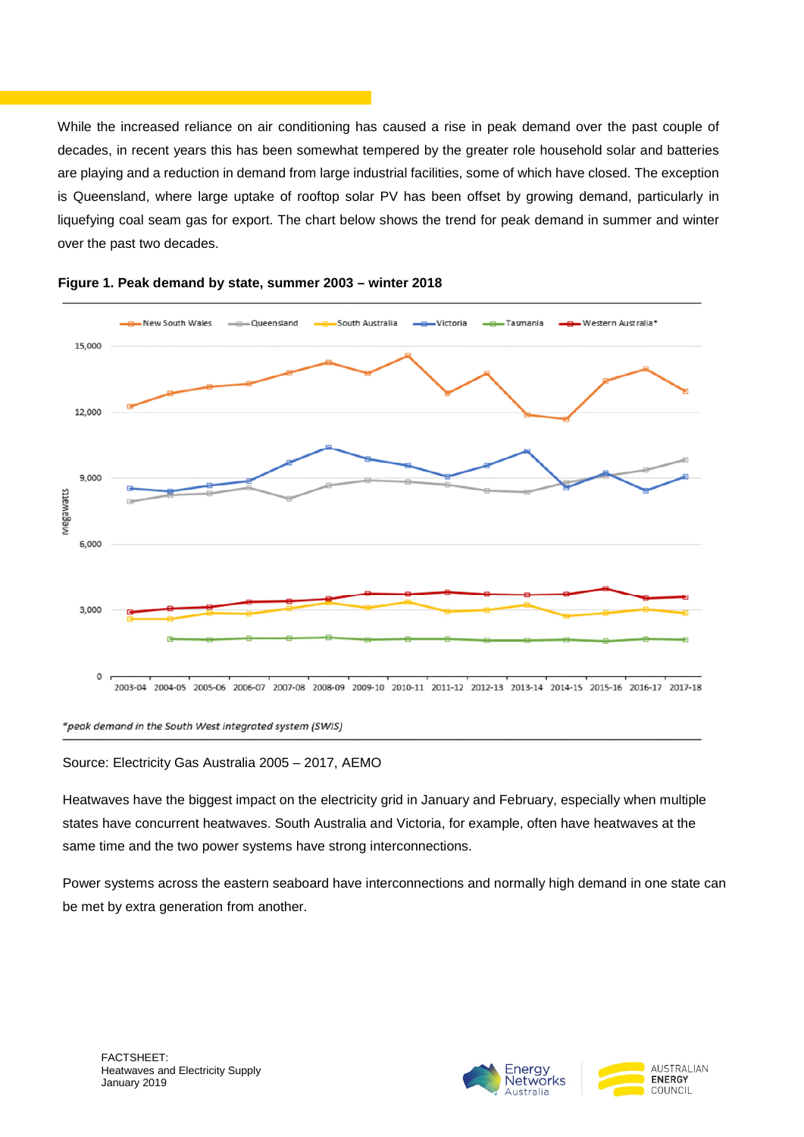While the increased reliance on air conditioning has caused a rise in peak demand over the past couple of decades, in recent years this has been somewhat tempered by the greater role household solar and batteries are playing and a reduction in demand from large industrial facilities, some of which have closed. The exception is Queensland, where large uptake of rooftop solar PV has been offset by growing demand, particularly in liquefying coal seam gas for export. The chart below shows the trend for peak demand in summer and winter over the past two decades.





\*peak demand in the South West integrated system (SWIS)

Source: Electricity Gas Australia 2005 – 2017, AEMO

Heatwaves have the biggest impact on the electricity grid in January and February, especially when multiple states have concurrent heatwaves. South Australia and Victoria, for example, often have heatwaves at the same time and the two power systems have strong interconnections.

Power systems across the eastern seaboard have interconnections and normally high demand in one state can be met by extra generation from another.

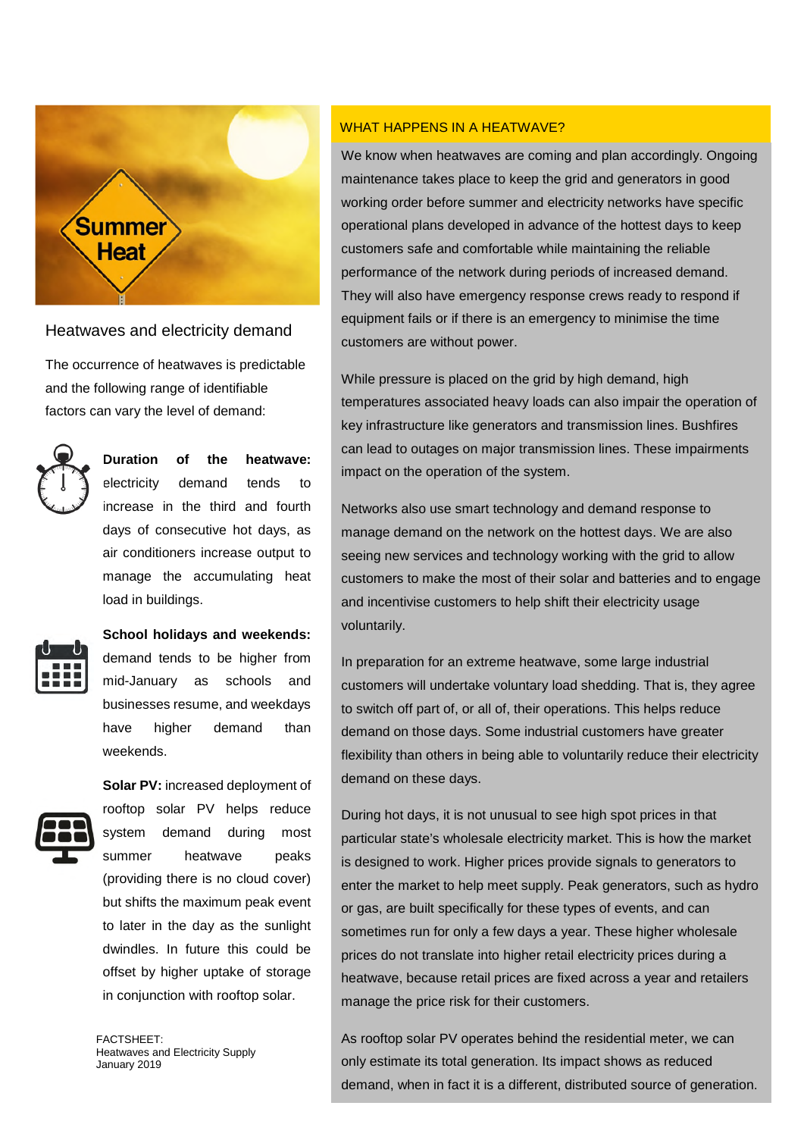

#### Heatwaves and electricity demand

The occurrence of heatwaves is predictable and the following range of identifiable factors can vary the level of demand:



# **Duration of the heatwave:** electricity demand tends to

increase in the third and fourth days of consecutive hot days, as air conditioners increase output to manage the accumulating heat load in buildings.



**School holidays and weekends:** demand tends to be higher from mid-January as schools and businesses resume, and weekdays have higher demand than weekends.

**Solar PV:** increased deployment of



rooftop solar PV helps reduce system demand during most summer heatwave peaks (providing there is no cloud cover) but shifts the maximum peak event to later in the day as the sunlight dwindles. In future this could be offset by higher uptake of storage in conjunction with rooftop solar.

FACTSHEET: Heatwaves and Electricity Supply January 2019

#### WHAT HAPPENS IN A HEATWAVE?

We know when heatwaves are coming and plan accordingly. Ongoing maintenance takes place to keep the grid and generators in good working order before summer and electricity networks have specific operational plans developed in advance of the hottest days to keep customers safe and comfortable while maintaining the reliable performance of the network during periods of increased demand. They will also have emergency response crews ready to respond if equipment fails or if there is an emergency to minimise the time customers are without power.

While pressure is placed on the grid by high demand, high temperatures associated heavy loads can also impair the operation of key infrastructure like generators and transmission lines. Bushfires can lead to outages on major transmission lines. These impairments impact on the operation of the system.

Networks also use smart technology and demand response to manage demand on the network on the hottest days. We are also seeing new services and technology working with the grid to allow customers to make the most of their solar and batteries and to engage and incentivise customers to help shift their electricity usage voluntarily.

In preparation for an extreme heatwave, some large industrial customers will undertake voluntary load shedding. That is, they agree to switch off part of, or all of, their operations. This helps reduce demand on those days. Some industrial customers have greater flexibility than others in being able to voluntarily reduce their electricity demand on these days.

During hot days, it is not unusual to see high spot prices in that particular state's wholesale electricity market. This is how the market is designed to work. Higher prices provide signals to generators to enter the market to help meet supply. Peak generators, such as hydro or gas, are built specifically for these types of events, and can sometimes run for only a few days a year. These higher wholesale prices do not translate into higher retail electricity prices during a heatwave, because retail prices are fixed across a year and retailers manage the price risk for their customers.

As rooftop solar PV operates behind the residential meter, we can only estimate its total generation. Its impact shows as reduced demand, when in fact it is a different, distributed source of generation.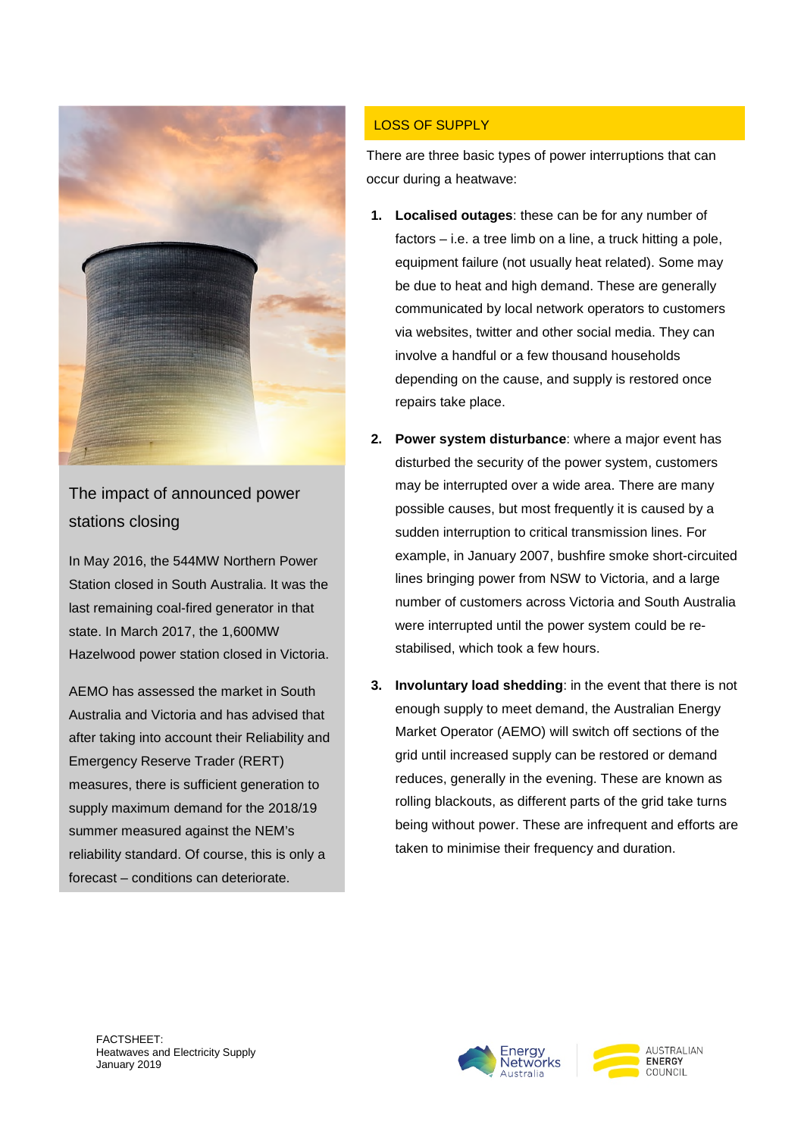

The impact of announced power stations closing

In May 2016, the 544MW Northern Power Station closed in South Australia. It was the last remaining coal-fired generator in that state. In March 2017, the 1,600MW Hazelwood power station closed in Victoria.

AEMO has assessed the market in South Australia and Victoria and has advised that after taking into account their Reliability and Emergency Reserve Trader (RERT) measures, there is sufficient generation to supply maximum demand for the 2018/19 summer measured against the NEM's reliability standard. Of course, this is only a forecast – conditions can deteriorate.

# LOSS OF SUPPLY

There are three basic types of power interruptions that can occur during a heatwave:

- **1. Localised outages**: these can be for any number of factors – i.e. a tree limb on a line, a truck hitting a pole, equipment failure (not usually heat related). Some may be due to heat and high demand. These are generally communicated by local network operators to customers via websites, twitter and other social media. They can involve a handful or a few thousand households depending on the cause, and supply is restored once repairs take place.
- **2. Power system disturbance**: where a major event has disturbed the security of the power system, customers may be interrupted over a wide area. There are many possible causes, but most frequently it is caused by a sudden interruption to critical transmission lines. For example, in January 2007, bushfire smoke short-circuited lines bringing power from NSW to Victoria, and a large number of customers across Victoria and South Australia were interrupted until the power system could be restabilised, which took a few hours.
- **3. Involuntary load shedding**: in the event that there is not enough supply to meet demand, the Australian Energy Market Operator (AEMO) will switch off sections of the grid until increased supply can be restored or demand reduces, generally in the evening. These are known as rolling blackouts, as different parts of the grid take turns being without power. These are infrequent and efforts are taken to minimise their frequency and duration.



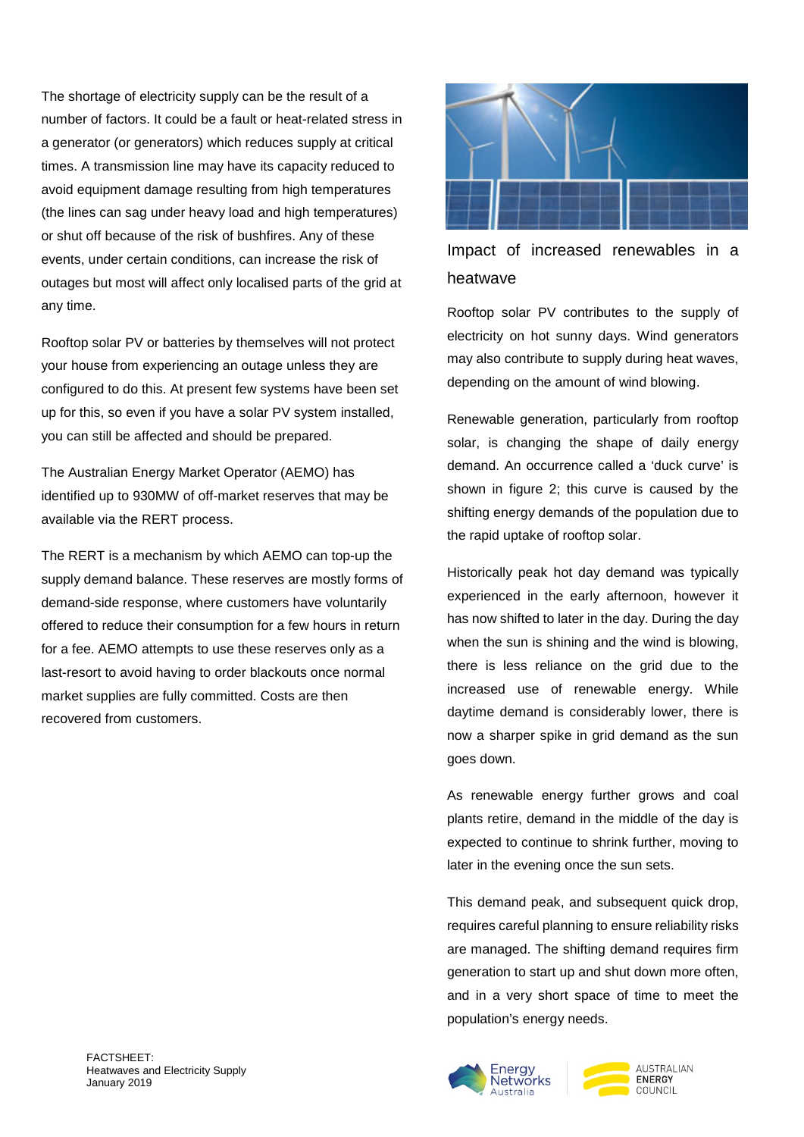The shortage of electricity supply can be the result of a number of factors. It could be a fault or heat-related stress in a generator (or generators) which reduces supply at critical times. A transmission line may have its capacity reduced to avoid equipment damage resulting from high temperatures (the lines can sag under heavy load and high temperatures) or shut off because of the risk of bushfires. Any of these events, under certain conditions, can increase the risk of outages but most will affect only localised parts of the grid at any time.

Rooftop solar PV or batteries by themselves will not protect your house from experiencing an outage unless they are configured to do this. At present few systems have been set up for this, so even if you have a solar PV system installed, you can still be affected and should be prepared.

The Australian Energy Market Operator (AEMO) has identified up to 930MW of off-market reserves that may be available via the RERT process.

The RERT is a mechanism by which AEMO can top-up the supply demand balance. These reserves are mostly forms of demand-side response, where customers have voluntarily offered to reduce their consumption for a few hours in return for a fee. AEMO attempts to use these reserves only as a last-resort to avoid having to order blackouts once normal market supplies are fully committed. Costs are then recovered from customers.



Rooftop solar PV contributes to the supply of electricity on hot sunny days. Wind generators may also contribute to supply during heat waves, depending on the amount of wind blowing.

Renewable generation, particularly from rooftop solar, is changing the shape of daily energy demand. An occurrence called a 'duck curve' is shown in figure 2; this curve is caused by the shifting energy demands of the population due to the rapid uptake of rooftop solar.

Historically peak hot day demand was typically experienced in the early afternoon, however it has now shifted to later in the day. During the day when the sun is shining and the wind is blowing, there is less reliance on the grid due to the increased use of renewable energy. While daytime demand is considerably lower, there is now a sharper spike in grid demand as the sun goes down.

As renewable energy further grows and coal plants retire, demand in the middle of the day is expected to continue to shrink further, moving to later in the evening once the sun sets.

This demand peak, and subsequent quick drop, requires careful planning to ensure reliability risks are managed. The shifting demand requires firm generation to start up and shut down more often, and in a very short space of time to meet the population's energy needs.



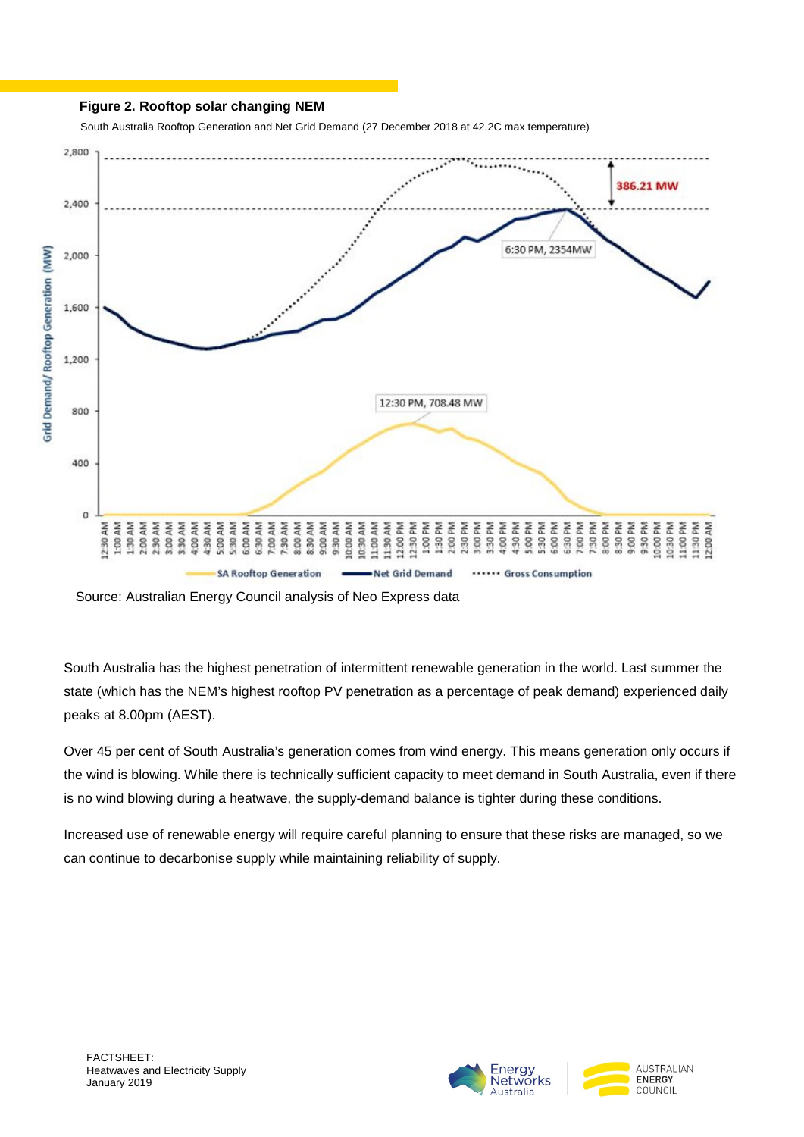#### **Figure 2. Rooftop solar changing NEM**

South Australia Rooftop Generation and Net Grid Demand (27 December 2018 at 42.2C max temperature)



Source: Australian Energy Council analysis of Neo Express data

South Australia has the highest penetration of intermittent renewable generation in the world. Last summer the state (which has the NEM's highest rooftop PV penetration as a percentage of peak demand) experienced daily peaks at 8.00pm (AEST).

Over 45 per cent of South Australia's generation comes from wind energy. This means generation only occurs if the wind is blowing. While there is technically sufficient capacity to meet demand in South Australia, even if there is no wind blowing during a heatwave, the supply-demand balance is tighter during these conditions.

Increased use of renewable energy will require careful planning to ensure that these risks are managed, so we can continue to decarbonise supply while maintaining reliability of supply.